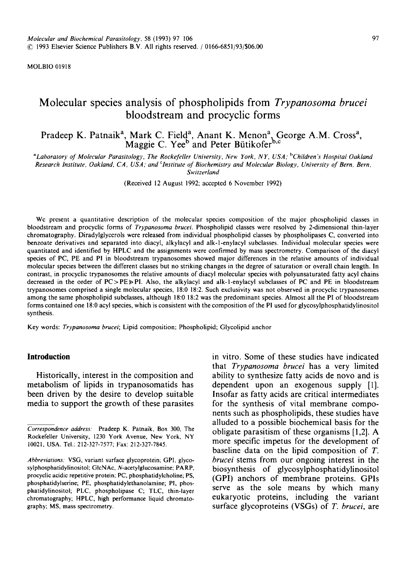MOLBIO 01918

# **Molecular species analysis of phospholipids from** *Trypanosoma brucei*  **bloodstream and procyclic forms**

# Pradeep K. Patnaik<sup>a</sup>, Mark C. Field<sup>a</sup>, Anant K. Menon<sup>a</sup>, George A.M. Cross<sup>a</sup>, Maggie C. Yee<sup>o</sup> and Peter Bütikofer<sup>o,c</sup>

*~Laboratory of Molecular Parasitology, The Rockefeller University, New York, N Y, USA: bChildren ~ Hospital Oakland Research Institute, Oakland, CA, USA; and Clnstitute of Biochemistry and Molecular Biology, University of Bern, Bern, Switzerland* 

(Received 12 August 1992; accepted 6 November 1992)

We present a quantitative description of the molecular species composition of the major phospholipid classes in bloodstream and procyclic forms of *Trypanosoma brucei.* Phospholipid classes were resolved by 2-dimensional thin-layer chromatography. Diradylglycerols were released from individual phospholipid classes by phospholipases C, converted into benzoate derivatives and separated into diacyl, alkylacyl and alk-l-enylacyl subclasses. Individual molecular species were quantitated and identified by HPLC and the assignments were confirmed by mass spectrometry. Comparison of the diacyl species of PC, PE and PI in bloodstream trypanosomes showed major differences in the relative amounts of individual molecular species between the different classes but no striking changes in the degree of saturation or overall chain length. In contrast, in procyclic trypanosomes the relative amounts of diacyl molecular species with polyunsaturated fatty acyl chains decreased in the order of  $PC > PE \ge Pl$ . Also, the alkylacyl and alk-l-enylacyl subclasses of PC and PE in bloodstream trypanosomes comprised a single molecular species, 18:0 18:2. Such exclusivity was not observed in procyclic trypanosomes among the same phospholipid subclasses, although 18:0 18:2 was the predominant species. Almost all the PI of bloodstream forms contained one 18:0 acyl species, which is consistent with the composition of the PI used for glycosylphosphatidylinositol synthesis.

Key words: *Trypanosoma brucei;* Lipid composition; Phospholipid; Glycolipid anchor

## **Introduction**

**Historically, interest in the composition and metabolism of lipids in trypanosomatids has been driven by the desire to develop suitable media to support the growth of these parasites**  **in vitro. Some of these studies have indicated that** *Trypanosoma brucei* **has a very limited ability to synthesize fatty acids de novo and is dependent upon an exogenous supply [1]. Insofar as fatty acids are critical intermediates for the synthesis of vital membrane components such as phospholipids, these studies have alluded to a possible biochemical basis for the obligate parasitism of these organisms [1,2]. A more specific impetus for the development of baseline data on the lipid composition of T.**  *brucei* **stems from our ongoing interest in the biosynthesis of glycosylphosphatidylinositol (GPI) anchors of membrane proteins. GPIs serve as the sole means by which many eukaryotic proteins, including the variant surface glycoproteins (VSGs) of** *T. brucei,* **are** 

*Correspondence address:* Pradeep K. Patnaik, Box 300, The Rockefeller University, 1230 York Avenue, New York, NY 10021, USA. Tel.: 212-327-7577; Fax: 212-327-7845.

*Abbreviations:* VSG, variant surface glycoprotein; GPI, glycosylphosphatidylinositol; GIcNAc, N-acetylglucosamine; PARP, procyclic acidic repetitive protein; PC, phosphatidylcholine; PS, phosphatidylserine; PE, phosphatidylethanolamine; PI, phosphatidylinositol; PLC, phospholipase C; TLC, thin-layer chromatography; HPLC, high performance liquid chromatography; MS, mass spectrometry.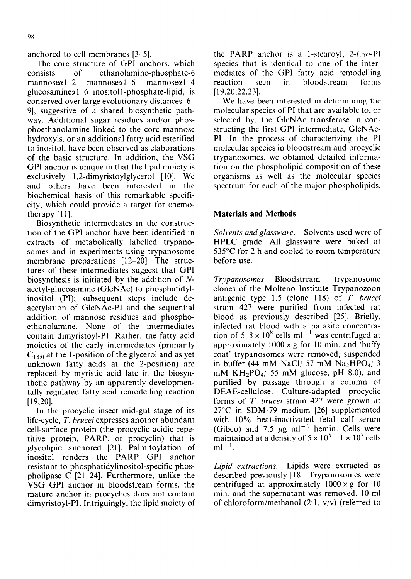anchored to cell membranes [3 5].

The core structure of GPI anchors, which consists of ethanolamine-phosphate-6  $m$ annose $\alpha$ l-2 mannose $\alpha$ l-6 mannose $\alpha$ l 4  $glucosamine\alpha$  6 inositoll-phosphate-lipid, is conserved over large evolutionary distances [6- 9], suggestive of a shared biosynthetic pathway. Additional sugar residues and/or phosphoethanolamine linked to the core mannose hydroxyls, or an additional fatty acid esterified to inositol, have been observed as elaborations of the basic structure. In addition, the VSG GPI anchor is unique in that the lipid moiety is exclusively 1,2-dimyristoylglycerol [10]. We and others have been interested in the biochemical basis of this remarkable specificity, which could provide a target for chemotherapy [11].

Biosynthetic intermediates in the construction of the GPI anchor have been identified in extracts of metabolically labelled trypanosomes and in experiments using trypanosome membrane preparations [12-20]. The structures of these intermediates suggest that GPI biosynthesis is initiated by the addition of Nacetyl-glucosamine (GIcNAc) to phosphatidylinositol (PI); subsequent steps include deacetylation of GIcNAc-PI and the sequential addition of mannose residues and phosphoethanolamine. None of the intermediates contain dimyristoyl-P1. Rather, the fatty acid moieties of the early intermediates (primarily  $C_{18:0}$  at the 1-position of the glycerol and as yet unknown fatty acids at the 2-position) are replaced by myristic acid late in the biosynthetic pathway by an apparently developmentally regulated fatty acid remodelling reaction [19,20].

In the procyclic insect mid-gut stage of its life-cycle, *T. brucei* expresses another abundant cell-surface protein (the procyclic acidic repetitive protein, PARP, or procyclin) that is glycolipid anchored [21]. Palmitoylation of inositol renders the PARP GPI anchor resistant to phosphatidylinositol-specific phospholipase C [21-24]. Furthermore, unlike the VSG GPI anchor in bloodstream forms, the mature anchor in procyclics does not contain dimyristoyl-PI. Intriguingly, the lipid moiety of the PARP anchor is a 1-stearoyl, 2-/yso-P1 species that is identical to one of the intermediates of the GPI fatty acid remodelling reaction seen in bloodstream forms [19,20,22,23].

We have been interested in determining the molecular species of PI that are available to, or selected by, the GIcNAc transferase in constructing the first GPI intermediate, GlcNAc-PI. In the process of characterizing the PI molecular species in bloodstream and procyclic trypanosomes, we obtained detailed information on the phospholipid composition of these organisms as well as the molecular species spectrum for each of the major phospholipids.

# **Materials and Methods**

*Solvents and glassware.* Solvents used were of HPLC grade. All glassware were baked at 535°C for 2 h and cooled to room temperature before use.

*Trypanosomes.* Bloodstream trypanosome clones of the Molteno Institute Trypanozoon antigenic type 1.5 (clone 118) of *T. brucei*  strain 427 were purified from infected rat blood as previously described [25]. Briefly, infected rat blood with a parasite concentration of 5  $8 \times 10^8$  cells ml<sup>-1</sup> was centrifuged at approximately  $1000 \times g$  for 10 min. and 'buffy coat' trypanosomes were removed, suspended in buffer (44 mM NaCl/ 57 mM Na<sub>2</sub>HPO<sub>4</sub>/ 3 mM KH<sub>2</sub>PO<sub>4</sub>/ 55 mM glucose, pH 8.0), and purified by passage through a column of DEAE-cellulose. Culture-adapted procyclic forms of *T. brucei* strain 427 were grown at 27"C in SDM-79 medium [26] supplemented with 10% heat-inactivated fetal calf serum (Gibco) and 7.5  $\mu$ g ml<sup>-1</sup> hemin. Cells were maintained at a density of  $5 \times 10^5 - 1 \times 10^7$  cells  $ml<sup>-1</sup>$ .

*Lipid extractions.* Lipids were extracted as described previously [18]. Trypanosomes were centrifuged at approximately  $1000 \times g$  for 10 min. and the supernatant was removed. 10 ml of chloroform/methanol  $(2:1, v/v)$  (referred to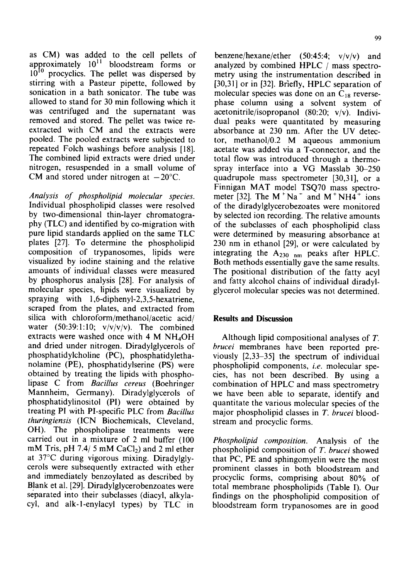as CM) was added to the cell pellets of approximately  $10^{11}$  bloodstream forms or 10<sup>10</sup> procyclics. The pellet was dispersed by stirring with a Pasteur pipette, followed by sonication in a bath sonicator. The tube was allowed to stand for 30 min following which it was centrifuged and the supernatant was removed and stored. The pellet was twice reextracted with CM and the extracts were pooled. The pooled extracts were subjected to repeated Folch washings before analysis [18]. The combined lipid extracts were dried under nitrogen, resuspended in a small volume of CM and stored under nitrogen at  $-20^{\circ}$ C.

*Analysis of phospholipid molecular species.*  Individual phospholipid classes were resolved by two-dimensional thin-layer chromatography (TLC) and identified by co-migration with pure lipid standards applied on the same TLC plates [27]. To determine the phospholipid composition of trypanosomes, lipids were visualized by iodine staining and the relative amounts of individual classes were measured by phosphorus analysis [28]. For analysis of molecular species, lipids were visualized by spraying with 1,6-diphenyl-2,3,5-hexatriene, scraped from the plates, and extracted from silica with chloroform/methanol/acetic acid/ water  $(50:39:1:10; v/v/v/v)$ . The combined extracts were washed once with 4 M NH<sub>4</sub>OH and dried under nitrogen. Diradyiglycerols of phosphatidylcholine (PC), phosphatidylethanolamine (PE), phosphatidylserine (PS) were obtained by treating the lipids with phospholipase C from *Bacillus cereus* (Boehringer Mannheim, Germany). Diradylglycerols of phosphatidylinositol (PI) were obtained by treating PI with PI-specific PLC from *Bacillus thuringiensis* (ICN Biochemicals, Cleveland, OH). The phospholipase treatments were carried out in a mixture of 2 ml buffer (100 mM Tris, pH 7.4/5 mM  $CaCl<sub>2</sub>$ ) and 2 ml ether at 37°C during vigorous mixing. Diradylglycerols were subsequently extracted with ether and immediately benzoylated as described by Blank et al. [29]. Diradylglycerobenzoates were separated into their subclasses (diacyl, alkylacyl, and aik-l-enylacyl types) by TLC in

benzene/hexane/ether (50:45:4; v/v/v) and analyzed by combined HPLC / mass spectrometry using the instrumentation described in [30,31] or in [32]. Briefly, HPLC separation of molecular species was done on an  $C_{18}$  reversephase column using a solvent system of acetonitrile/isopropanol (80:20; v/v). Individual peaks were quantitated by measuring absorbance at 230 nm. After the UV detector, methanol/0.2 M aqueous ammonium acetate was added via a T-connector, and the total flow was introduced through a thermospray interface into a VG Masslab 30-250 quadrupole mass spectrometer [30,31], or a Finnigan MAT model TSQ70 mass spectrometer [32]. The  $M^+Na^-$  and  $M^+NH4^+$  ions of the diradylglycerobezoates were monitored by selected ion recording. The relative amounts of the subclasses of each phospholipid class were determined by measuring absorbance at 230 nm in ethanol [29], or were calculated by integrating the  $A_{230 \ nm}$  peaks after HPLC. Both methods essentially gave the same results. The positional distribution of the fatty acyl and fatty alcohol chains of individual diradylglycerol molecular species was not determined.

# **Results and Discussion**

Although lipid compositional analyses of T. *brucei* membranes have been reported previously [2,33-35] the spectrum of individual phospholipid components, *i.e.* molecular species, has not been described. By using a combination of HPLC and mass spectrometry we have been able to separate, identify and quantitate the various molecular species of the major phospholipid classes in T. *brucei* bloodstream and procyclic forms.

*Phospholipid composition.* Analysis of the phospholipid composition of *T. brucei* showed that PC, PE and sphingomyelin were the most prominent classes in both bloodstream and procyclic forms, comprising about 80% of total membrane phospholipids (Table I). Our findings on the phospholipid composition of bloodstream form trypanosomes are in good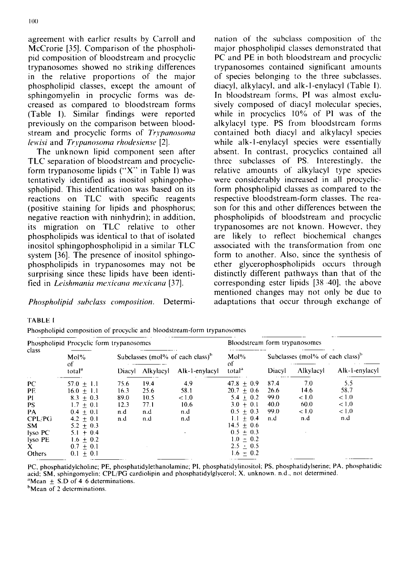agreement with earlicr results by Carroll and McCrorie [35]. Comparison of the phospholipid composition of bloodstream and procyclic trypanosomes showed no striking differences in the relative proportions of the major phospholipid classes, except the amount of sphingomyelin in procyclic forms was decreased as compared to bloodstream forms (Table I). Similar findings were reported previously on the comparison between bloodstream and procyclic forms of *Trypanosoma lewisi* and *Trypanosoma rhodesiense* [2].

The unknown lipid component seen after TLC separation of bloodstream and procyclicform trypanosome lipids ("X" in Table I) was tentatively identified as inositol sphingophospholipid. This identification was based on its reactions on TLC with specific reagents (positive staining for lipids and phosphorus; negative reaction with ninhydrin); in addition, its migration on TLC relative to other phospholipids was identical to that of isolated inositol sphingophospholipid in a similar TLC system [36]. The presence of inositol sphingophospholipids in trypanosomes may not be surprising since these lipids have been identified in *Leishmania mexicana me.vicana* [37].

*Phospholipid subclass composition.* Determi-

nation of the subclass composition of the major phospholipid classes demonstrated that PC and PE in both bloodstream and procyclic trypanosomes contained significant amounts of species belonging to the three subclasses, diacyl, alkylacyl, and alk-l-enylacyl (Table I). In bloodstream forms, PI was almost exclusively composed of diacyl molecular species, while in procyclics  $10\%$  of PI was of the alkylacyl type. PS from bloodstream forms contained both diacyl and alkylacyl species while alk-1-enylacyl species were essentially absent. In contrast, procyclics contained all three subclasses of PS. Interestingly, the relative amounts of alkylacyl type species were considerably increased in all procyclicform phospholipid classes as compared to the respective bloodstream-form classes. The reason for this and other differences between the phospholipids of bloodstream and procyclic trypanosomes are not known. However, they are likely to reflect biochemical changes associated with the transformation from one form to another. Also, since the synthesis of ether glycerophospholipids occurs through distinctly different pathways than that of the corresponding ester lipids [38-40], the above mentioned changes may not only be due to adaptations that occur through exchange of

#### TABLE 1

Phospholipid composition of procyclic and bloodstream-form trypanosomcs

| class   | Phospholipid Procyclic form trypanosomes |        |                                              |                | Bloodstream form trypanosomes |                                     |           |                |
|---------|------------------------------------------|--------|----------------------------------------------|----------------|-------------------------------|-------------------------------------|-----------|----------------|
|         | $Mol\%$<br>οf                            |        | Subclasses (mol% of each class) <sup>b</sup> |                | $Mol\%$<br>ΩË                 | Subclasses (mol% of each class) $b$ |           |                |
|         | total <sup>a</sup>                       | Diacyl | Alkylacyl                                    | Alk-1-enylacyl | total <sup>a</sup>            | Diacyl                              | Alkylacyl | Alk-1-enylacyl |
| PC      | 57.0 $\pm$ 1.1                           | 75.6   | 19.4                                         | 4.9            | $47.8 + 0.9$                  | 87.4                                | -7.0      | 5.5            |
| PE.     | $16.0 + 1.1$                             | 16.3   | 25.6                                         | 58.1           | $20.7 + 0.6$                  | 26.6                                | 14.6      | 58.7           |
| PI      | $8.3 + 0.3$                              | 89.0   | 10.5                                         | 1.0            | $5.4 + 0.2$                   | 99.0                                | 1.0       | < 1.0          |
| PS.     | $1.7 + 0.1$                              | 12.3   | 77.1                                         | 10.6           | $3.0 + 0.1$                   | 40.0                                | 60.0      | < 1.0          |
| PA      | $0.4 + 0.1$                              | n.d    | n.d                                          | n.d            | $0.5 \pm 0.3$                 | 99.0                                | 1.0       | 1.0            |
| CPL/PG  | $4.2 \pm 0.1$                            | n.d    | n.d                                          | n.d            | $1.1 \pm 0.4$                 | n.d                                 | n.d       | n.d            |
| SM.     | $5.2 + 0.3$                              |        |                                              |                | $14.5 + 0.6$                  |                                     |           |                |
| lyso PC | $5.1 + 0.4$                              |        |                                              |                | $0.5 + 0.3$                   |                                     |           |                |
| lyso PE | $1.6 \pm 0.2$                            |        |                                              |                | $1.0 \pm 0.2$                 |                                     |           |                |
| X       | $0.7 \pm 0.1$                            |        |                                              |                | $2.5 \pm 0.5$                 |                                     |           |                |
| Others  | $0.1 + 0.1$                              |        |                                              |                | $1.6 \pm 0.2$                 |                                     |           |                |

PC, phosphatidylcholinc; PE, phosphatidylethanolaminc; PI, phosphatidylinositol; PS, phosphatidylserine; PA. phosphatidic acid; SM, sphingomyelin: *CPL/PG* cardiolipin and phosphatidylglyccrol; X, unknown, n.d., not determined. "Mean  $\pm$  S.D of 4 6 determinations.

<sup>b</sup>Mean of 2 determinations.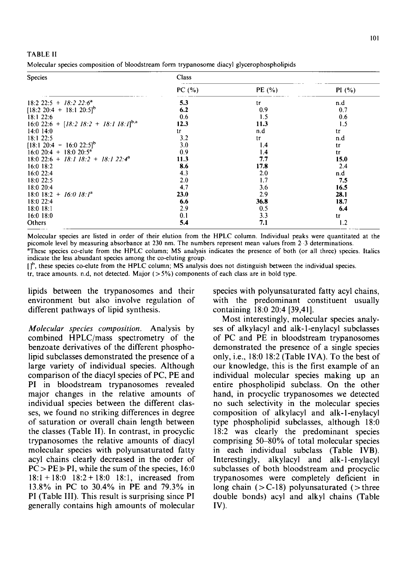| -TABLE II                                                                                 |  |  |
|-------------------------------------------------------------------------------------------|--|--|
| Molecular species composition of bloodstream form trypanosome diacyl glycerophospholipids |  |  |

a de alguna

| <b>Species</b>                                               | Class   |           |       |  |  |  |
|--------------------------------------------------------------|---------|-----------|-------|--|--|--|
|                                                              | PC $(%$ | PE $(% )$ | PI(%) |  |  |  |
| 18:2 22:5 + 18:2 22:6 <sup>a</sup>                           | 5.3     | tг        | n.d   |  |  |  |
| $[18:2 20:4 + 18:1 20:5]^{b}$                                | 6.2     | 0.9       | 0.7   |  |  |  |
| 18:122:6                                                     | 0.6     | 1.5       | 0.6   |  |  |  |
| 16:0 22:6 + $[18:2 \ 18:2 \ + \ 18:1 \ 18:1]$ <sup>b,a</sup> | 12.3    | 11.3      | 1.5   |  |  |  |
| $14:0$ 14:0                                                  | tг      | n.d       | tr    |  |  |  |
| 18:1 22:5                                                    | 3.2     | tr        | n.d   |  |  |  |
| $[18:1 20:4 - 16:0 22:5]^{b}$                                | 3.0     | 1.4       | tr    |  |  |  |
| $16:0$ 20:4 + 18:0 20:5 <sup>a</sup>                         | 0.9     | 1.4       | tr    |  |  |  |
| $18:0$ 22:6 + 18:1 18:2 + 18:1 22:4 <sup>a</sup>             | 11.3    | 7.7       | 15.0  |  |  |  |
| $16:0$ 18:2                                                  | 8.6     | 17.8      | 2.4   |  |  |  |
| 16:0 22:4                                                    | 4.3     | 2.0       | n.d   |  |  |  |
| 18:0 22:5                                                    | 2.0     | 1.7       | 7.5   |  |  |  |
| 18:0 20:4                                                    | 4.7     | 3.6       | 16.5  |  |  |  |
| $18:0$ $18:2$ + $16:0$ $18:1^a$                              | 23.0    | 2.9       | 28.1  |  |  |  |
| 18:0 22:4                                                    | 6.6     | 36.8      | 18.7  |  |  |  |
| $18:0$ $18:1$                                                | 2.9     | 0.5       | 6.4   |  |  |  |
| $16:0$ 18:0                                                  | 0.1     | 3.3       | tг    |  |  |  |
| Others                                                       | 5.4     | 7.1       | 1.2   |  |  |  |

Molecular species are listed in order of their elution from the HPLC column. Individual peaks were quantitated at the picomole level by measuring absorbance at 230 nm. The numbers represent mean values from 2-3 determinations. ~These species co-elute from the HPLC column; MS analysis indicates the presence of both (or all three) species. Italics indicate the less abundant species among the co-eluting group.

lib, these species co-elute from the HPLC column; MS analysis does not distinguish between the individual species.

tr, trace amounts. n.d, not detected. Major  $(5\%)$  components of each class are in bold type.

lipids between the trypanosomes and their environment but also involve regulation of different pathways of lipid synthesis.

species with polyunsaturated fatty acyl chains, with the predominant constituent usually containing 18:0 20:4 [39,41].

*Molecular species composition.* Analysis by combined HPLC/mass spectrometry of the benzoate derivatives of the different phospholipid subclasses demonstrated the presence of a large variety of individual species. Although comparison of the diacyl species of PC, PE and PI in bloodstream trypanosomes revealed major changes in the relative amounts of individual species between the different classes, we found no striking differences in degree of saturation or overall chain length between the classes (Table II). In contrast, in procyclic trypanosomes the relative amounts of diacyl molecular species with polyunsaturated fatty acyl chains clearly decreased in the order of  $PC > PE \geq P1$ , while the sum of the species, 16:0 18:1+ 18:0 18:2+ 18:0 18:1, increased from 13.8% in PC to 30.4% in PE and 79.3% in PI (Table III). This result is surprising since PI generally contains high amounts of molecular

Most interestingly, molecular species analyses of alkylacyl and alk-l-enylacyl subclasses of PC and PE in bloodstream trypanosomes demonstrated the presence of a single species only, i.e., 18:0 18:2 (Table IVA). To the best of our knowledge, this is the first example of an individual molecular species making up an entire phospholipid subclass. On the other hand, in procyclic trypanosomes we detected no such selectivity in the molecular species composition of alkylacyl and alk-l-enylacyl type phospholipid subclasses, although 18:0 18:2 was clearly the predominant species comprising 50-80% of total molecular species in each individual subclass (Table IVB). Interestingly, alkylacyl and alk-l-enylacyl subclasses of both bloodstream and procyclic trypanosomes were completely deficient in long chain  $(> C-18)$  polyunsaturated ( $>$  three double bonds) acyl and alkyl chains (Table IV).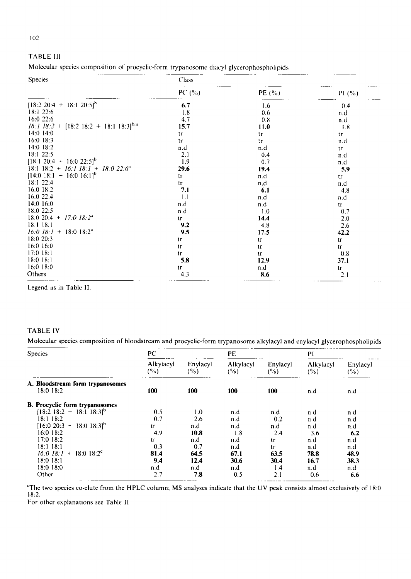## TABLE I11

|  | Molecular species composition of procyclic-form trypanosome diacyl glycerophospholipids |  |  |  |  |
|--|-----------------------------------------------------------------------------------------|--|--|--|--|
|  |                                                                                         |  |  |  |  |

| <b>Species</b>                                       | Class   |                  |                  |  |  |  |
|------------------------------------------------------|---------|------------------|------------------|--|--|--|
|                                                      | PC $(%$ | PE (%)           | PI $(^{0}/_{0})$ |  |  |  |
| $[18:2 20:4 + 18:1 20:5]^{b}$                        | 6.7     | 1.6              | 0.4              |  |  |  |
| 18:122:6                                             | 1.8     | 0.6              | n.d              |  |  |  |
| 16:022:6                                             | 4.7     | 0.8              | n.d              |  |  |  |
| $16:1$ 18:2 + [18:2 18:2 + 18:1 18:3] <sup>b,a</sup> | 15.7    | 11.0             | 1.8              |  |  |  |
| $14:0$ 14:0                                          | tr      | tr               | tΓ               |  |  |  |
| 16:0 18:3                                            | tr      | $\mathfrak{t}$ r | n.d              |  |  |  |
| 14:0 18:2                                            | n.d     | n.d              | tr               |  |  |  |
| 18:1 22:5                                            | 2.1     | 0.4              | n.d              |  |  |  |
| $[18:1\ 20:4\ +\ 16:0\ 22:5]^{b}$                    | 1.9     | 0.7              | n.d              |  |  |  |
| 18:1 18:2 + 16:1 18:1 + 18:0 22:6 <sup>a</sup>       | 29.6    | 19.4             | 5.9              |  |  |  |
| $[14:0 18:1 - 16:0 16:1]^{b}$                        | tг      | n.d              | tr               |  |  |  |
| $18:1$ 22:4                                          | tr      | n.d              | n.d              |  |  |  |
| $16:0$ $18:2$                                        | 7.1     | 6.1              | 4.8              |  |  |  |
| 16:0 22:4                                            | 1.1     | n.d              | n.d              |  |  |  |
| $14:0$ 16:0                                          | n.d     | n.d              | tr               |  |  |  |
| 18:022:5                                             | n d     | 1.0              | 0.7              |  |  |  |
| 18:0 20:4 + $17:0$ $18:2^4$                          | tr      | 14.4             | 2.0              |  |  |  |
| $18:1$ $18:1$                                        | 9.2     | 4.8              | 2.6              |  |  |  |
| $16.0$ $18.1$ + 18.0 18:2 <sup>a</sup>               | 9.5     | 17.5             | 42.2             |  |  |  |
| 18:0 20:3                                            | tr      | tr               | ŧг               |  |  |  |
| 16:0 16:0                                            | tr      | tr               | tr               |  |  |  |
| $17:0$ 18:1                                          | tr      | tΓ               | 0.8              |  |  |  |
| 18:0 18:1                                            | 5.8     | 12.9             | 37.1             |  |  |  |
| $16:0$ $18:0$                                        | tr      | n.d              | tr               |  |  |  |
| Others                                               | 4.3     | 8.6              | 2.1              |  |  |  |

Legend as in Table lI.

## TABLE IV

Molecular species composition of bloodstream and procyclic-form trypanosome alkylacyl and cnylacyl glycerophospholipids

| <b>Species</b>                                | PC                  |                 | PE               |                 | PI               |                 |
|-----------------------------------------------|---------------------|-----------------|------------------|-----------------|------------------|-----------------|
|                                               | Alkylacyl<br>$(\%)$ | Enylacyl<br>(%) | Alkylacyl<br>(%) | Enylacyl<br>(%) | Alkylacyl<br>(%) | Enylacyl<br>(%) |
| A. Bloodstream form trypanosomes<br>18:0 18:2 | 100                 | 100             | 100              | 100             | n.d              | n.d             |
| <b>B.</b> Procyclic form trypanosomes         |                     |                 |                  |                 |                  |                 |
| $[18:2 18:2 + 18:1 18:3]$ <sup>b</sup>        | 0.5                 | 1.0             | n.d              | n.d             | n.d              | n.d             |
| 18:1-18:2                                     | 0.7                 | 2.6             | n.d              | 0.2             | n.d              | n.d             |
| $18:0$ $18:31b$<br>$[16:0 20:3 +$             | tr                  | n.d             | n.d              | n.d             | n.d              | n.d             |
| 16:0-18:2                                     | 4.9                 | 10.8            | 1.8              | 2.4             | 3.6              | 6,2             |
| 17:0 18:2                                     | tr                  | n.d             | n.d              | tr              | n.d              | n.d             |
| $18:1$ $18:1$                                 | 0.3                 | 0.7             | n.d              | tr              | n.d              | n.d             |
| 16.018:1<br>$18:0$ $18:2^c$                   | 81.4                | 64.5            | 67.1             | 63.5            | 78.8             | 48.9            |
| $18:0$ $18:1$                                 | 9.4                 | 12.4            | 30.6             | 30.4            | 16.7             | 38.3            |
| 18:0 18:0                                     | n.d                 | n.d             | n.d              | 1.4             | n.d              | n.d             |
| Other                                         | 2.7                 | 7.8             | 0.5              | 2.1             | 0.6              | 6.6             |

 $C$ The two species co-elute from the HPLC column; MS analyses indicate that the UV peak consists almost exclusively of 18:0 18:2.

For other explanations see Table II.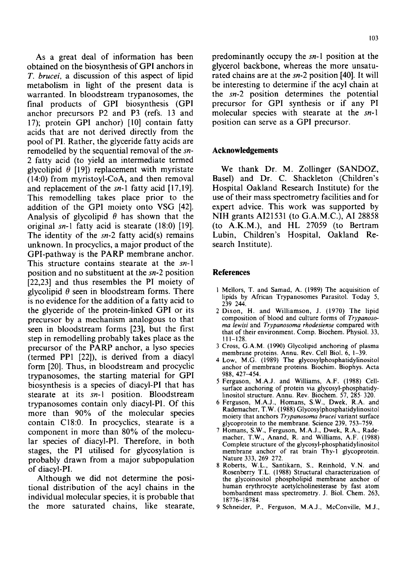As a great deal of information has been obtained on the biosynthesis of GPI anchors in *T. brucei,* a discussion of this aspect of lipid metabolism in light of the present data is warranted. In bloodstream trypanosomes, the final products of GPI biosynthesis (GPI anchor precursors P2 and P3 (refs. 13 and 17); protein GPI anchor) [10] contain fatty acids that are not derived directly from the pool of PI. Rather, the glyceride fatty acids are remodelled by the sequential removal of the *sn-*2 fatty acid (to yield an intermediate termed glycolipid  $\theta$  [19]) replacement with myristate (14:0) from myristoyl-CoA, and then removal and replacement of the *sn*-1 fatty acid [17,19]. This remodelling takes place prior to the addition of the GPI moiety onto VSG [42]. Analysis of glycolipid  $\theta$  has shown that the original *sn-1* fatty acid is stearate (18:0) [19]. The identity of the *sn-2* fatty acid(s) remains unknown. In procyclics, a major product of the GPI-pathway is the PARP membrane anchor. This structure contains stearate at the *sn-1*  position and no substituent at the *sn-2* position [22,23] and thus resembles the PI moiety of glycolipid  $\theta$  seen in bloodstream forms. There is no evidence for the addition of a fatty acid to the glyceride of the protein-linked GPI or its precursor by a mechanism analogous to that seen in bloodstream forms [23], but the first step in remodelling probably takes place as the precursor of the PARP anchor, a lyso species (termed PP1 [22]), is derived from a diacyl form [20]. Thus, in bloodstream and procyclic trypanosomes, the starting material for GPI biosynthesis is a species of diacyl-PI that has stearate at its *sn-!* position. Bloodstream trypanosomes contain only diacyl-Pl. Of this more than 90% of the molecular species contain C18:0. In procyclics, stearate is a component in more than 80% of the molecular species of diacyl-PI. Therefore, in both stages, the PI utilised for glycosylation is probably drawn from a major subpopulation of diacyl-PI.

Although we did not determine the positional distribution of the acyl chains in the individual molecular species, it is probable that the more saturated chains, like stearate,

predominantly occupy the *sn-I* position at the glycerol backbone, whereas the more unsaturated chains are at the *sn-2* position [40]. It will be interesting to determine if the acyl chain at the *sn-2* position determines the potential precursor for GPI synthesis or if any PI molecular species with stearate at the *sn-I*  position can serve as a GPI precursor.

## **Acknowledgements**

We thank Dr. M. Zollinger (SANDOZ, Basel) and Dr. C. Shackleton (Children's Hospital Oakland Research Institute) for the use of their mass spectrometry facilities and for expert advice. This work was supported by NIH grants AI21531 (to G.A.M.C.), AI 28858 (to A.K.M.), and HL 27059 (to Bertram Lubin, Children's Hospital, Oakland Research Institute).

#### **References**

- 1 Mellors, T. and Samad, A. (1989) The acquisition of lipids by African Trypanosomes Parasitol. Today 5, 239 244.
- 2 Dixon, H. and Williamson, J. (1970) The lipid composition of blood and culture forms of *Trypanosorna lewisi* and *Trypanosoma rhodesiense* compared with that of their environment. Comp. Biochem. Physiol. 33, 111-128.
- 3 Cross, G.A.M. (1990) Glycolipid anchoring of plasma membrane proteins. Annu. Rev. Cell Biol. 6, 1-39.
- 4 Low, M.G. (1989) The glycosylphosphatidylinositol anchor of membrane proteins. Biochim. Biophys. Acta 988,427-454.
- 5 Ferguson, M.A.J. and Williams, A.F. (1988) Cellsurface anchoring of protein via glycosyl-phosphatidylinositol structure. Annu. Rev. Biochem. 57, 285- 320.
- 6 Ferguson, M.A.J., Homans, S.W., Dwek, R.A. and Rademacher, T.W. (1988) Glycosylphosphatidylinositol moiety that anchors *Trypanosorna brucei* variant surface glycoprotein to the membrane. Science 239, 753-759.
- 7 Homans, S.W., Ferguson, M.A.J., Dwek, R.A., Rademacher, T.W., Anand, R. and Williams, A.F. (1988) Complete structure of the glycosyl-phosphatidylinositol membrane anchor of rat brain Thy-I glycoprotein. Nature 333, 269 272.
- 8 Roberts, W.L., Santikarn, S.. Reinhold, V.N. and Rosenberry T.L. (1988) Structural characterization of the glycoinositol phospholipid membrane anchor of human erythrocyte acetylcholinesterase by fast atom bombardment mass spectrometry. J. Biol. Chem. 263, 18776-18784.
- 9 Schneider, P., Ferguson, M.A.J., McConville, M.J.,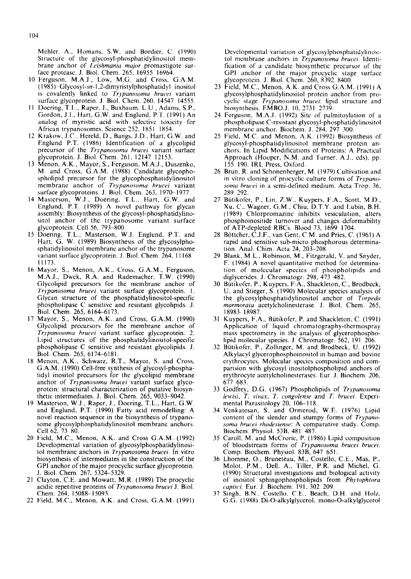Mehler. A., Homans, S.W. and Bordier, C. (1990) Structure of the glycosyl-phosphatidylinositol membrane anchor of *Leishmania major* promastigote surface protcasc. J. Biol. Chem. 265, 16955 16964.

- 10 Ferguson, M.A.J., Low, M.G. and Cross, G.A.M. (1985) Glycosyl-sn-l,2-dimyristylphosphatidyl inositol is covalently linked to *Trypanosoma brucei* variant surface glycoprotein. J. Biol. Chem. 260. 14547 14555.
- 11 Doering, T.I,., Raper. J., Buxbaum, L.U., Adams, S.P., Gordon, J.L., Hart, G.W. and Englund, P.T. (1991) An analog of myristic acid with selective toxicity for African trypanosomes. Science 252. 1851 1854.
- 12 Krakow, J.C.. Hereld, D., Bangs. J.D., Hart, G.W. and Englund P.T. (1986) Identification of a glycolipid precursor of the *Trypanosoma hrucei* variant surface glycoprotein. J. Biol. Chem. 261, 12147 12153.
- 13 Menon, A.K., Mayor, S., Ferguson. M.A.J., Duszenko, M. and Cross, G.A.M. (1988) Candidate glycophospholipid precursor for the glycophosphatidylinositol membrane anchor of *Trypanosoma brucei* variant surface glycoproteins. J. Biol. Chem. 263, 1970-1977.
- 14 Masterson, W.J., Doering. T.L.. Hart, G.W. and Englund, P.T. (1989) A novel pathway for glycan assembly: Biosynthesis of the glycosyl-phosphatidylinositol anchor of the trypanosome variant surface glycoprotcin. Cell 56, 793--800.
- 15 Doering, T.L., Masterson, W.J. Englund, P.T. and Hart, G. W. (1989) Biosynthesis of the glycosylphosphatidylinositol membrane anchor of the trypanosome variant surface glycoprotein. J. Biol. Chem. 264, 11168 11173.
- 16 Mayor, S., Menon, A.K., Cross. G.A.M., Ferguson, M.A.J., Dwek, R.A. and Rademacher, T.W. (1990) Glycolipid precursors for the membrane anchor of *Trypanosoma brucei* variant surface glycoprotein. 1. Glycan structure of the phosphatidylinositol-specific phospholipase C sensitive and resistant glycolipids. J. Biol. Chem. 265, 6164-6173.
- 17 Mayor, S., Menon, A.K. and Cross, G.A.M. (1990) Glycolipid precursors for the membrane anchor of *Trvpanosoma hrucei* variant surface glycoprotein. 2. Lipid structures of the phosphatidylinositol-specific phospholipase C sensitive and resistant glycolipids. J. Biol. Chem. 265, 6174-6181.
- 18 Menon, A.K., Schwarz, R.T., Mayor, S. and Cross, G.A.M. (1990) Cell-free synthesis of glycosyl-phosphatidyl inositol precursors for the glycolipid membrane anchor of *Trypanosoma brucei* variant surface glycoprotein: structural characterization of putative biosynthetic intermediates. J. Biol. Chem. 265, 9033-9042.
- 19 Masterson, W.J., Raper, J., Doering, T.L., Hart, G.W. and Englund, P.T. (1990) Fatty acid remodelling: A novel reaction sequence in the biosynthesis of trypanosome glycosylphosphatidylinositol membrane anchors. Cell 62, 73 80.
- 20 Field, M.C., Menon, A.K. and Cross G.A.M. (1992) Developmental variation of glycosylphosphatidylinositol membrane anchors in *Trypanosoma brucei.* In vitro biosynthesis of intermediates in the construction of the GPI anchor of the major procyclic surface glycoprotein. J. Biol. Chem. 267, 5324-5329.
- 21 Clayton, C.E. and Mowatt, M.R. (1989) The procyclic acidic repetitive proteins of *Trypanosoma hrucei* J. Biol. Chem. 264, 15088-15093.
- 22 Field, M.C., Menon, A.K. and Cross, G.A.M. (1991)

Developmental variation of glycosylphosphatidylinositol membrane anchors in *Trypanosoma hrucei.* Identification of a candidate biosynthetic precursor of the GPI anchor of the major procyclic stage surface glycoprotein. J. Biol. Chem. 260, 8392 8400.

- 23 Field, M.C., Menon, A.K. and Cross G.A.M. (1991) A glycosylphosphatidylinositol protein anchor from procyclic stage *Trypanosoma hrucei:* lipid structure and biosynthesis. EMBO.J. 10, 2731 2739.
- 24 Ferguson, M.A.J. (1992) Site of palmitoylation of a phospholipase C-resistant glycosyl-phosphatidylinositol membrane anchor. Biochem. J. 284, 297 300.
- 25 Field, M.C. and Menon, A.K. (1992) Biosynthesis of glycosyl-phosphatidylinositol membrane protein anchors. In Lipid Modifications of Proteins: A Practical Approach (Hooper, N.M. and Turner, A.J.. eds), pp. 155 190. IRL Press, Oxford.
- 26 Brun, R. and Schonenberger, M. (1979) Cultivation and in vitro cloning of procyclic culture forms of *Trypanosoma hrucei* in a semi-defined medium. Acta Trop. 36, 289 292.
- 27 Bütikofer, P., Lin. Z.W., Kuypers, F.A., Scott, M.D., Xu. C., Wagner, G.M., Chiu, D.T.Y. and Lubin, B.H. (1989) Chlorpromazine inhibits vesiculation, alters phosphoinositide turnover and changes deformability of ATP-depleted RBCs. Blood 73, 1699 1704.
- 28 Böttcher, C.J.F., van Gent, C.M. and Pries, C. (1961) A rapid and sensitive sub-micro phosphorous determination. Anal. Chim. Acta 24, 203-208.
- 29 Blank, M.L., Robinson. M., Fitzgerald, V. and Snyder, F. (1984) A novel quantitative method for determination of molecular species of phospholipids and diglycerides. J. Chromatogr. 298,473 482.
- 30 Bütikofer, P., Kuypers, F.A., Shackleton, C., Brodbeck, U. and Stieger, S. (1990) Molecular species analysis of the glycosylphosphatidylinositol anchor of *Torpedo marmorata* acetylcholinesterase. J. Biol. Chem. 265, 18983-18987.
- 31 Kuypers, F.A., Bütikofer, P. and Shackleton, C. (1991). Application of liquid chromatography-thermospray mass spectrometry in the analysis of glycerophospholipid molecular species. J. Chromatogr. 562, 191 206.
- 32 Bütikofer, P., Zollinger, M. and Brodbeck, U. (1992) Alkylacyl glycerophosphoinositol in human and bovine erythrocytes. Molecular species composition and comparision with glycosyl inositolphospholipid anchors of erythrocyte acetylcholinesterases. Eur. J. Biochem. 206, 677 683.
- 33 Godfrey, D.G. (1967) Phospholipids of *Trypanosoma lewisi*, *T. vivax. T. congolense* and *T. brucei.* Experimental Parasitology 20, 106-118.
- 34 Venkatesan, S. and Ormerod, W.E. (1976) Lipid content of the slender and stumpy forms of *Trypanosoma hrucei rhodesiense:* A comparative study. Comp. Biochem Physiol. 53B, 481 487.
- 35 Caroll, M. and McCrorie, P. (1986) Lipid composition of bloodstream forms of *Trypanosoma brucei brucei.*  Comp. Biochem. Physiol. 83B, 647 651.
- 36 Lhomme, O., Bruneteau, M., Costello, C.E., Mas, P., Molot. P.M., Dell. A., Tiller, P.R. and Michel, G. (1990) Structural investigations and biological activity of inositol sphingophospholipids from *Phytophtora capisci.* Eur. J. Biochem. 191, 302 209.
- 37 Singh, B.N., Costello, *C.E.,* Beach, D.H. and Holz, G.G. (1988) Di-O-alkylglycerol, mono-O-alkylglycerol